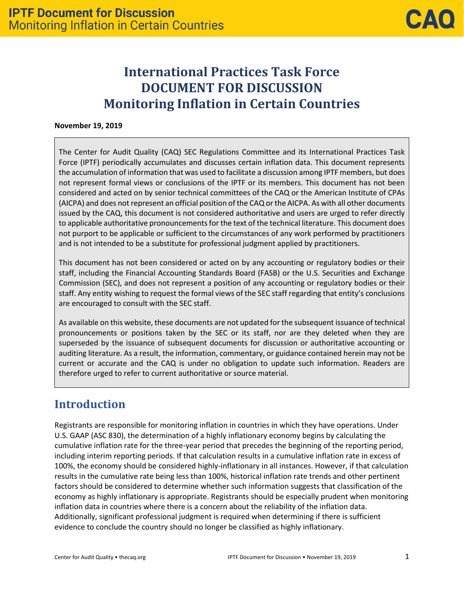# **International Practices Task Force DOCUMENT FOR DISCUSSION Monitoring Inflation in Certain Countries**

#### **November 19, 2019**

The Center for Audit Quality (CAQ) SEC Regulations Committee and its International Practices Task Force (IPTF) periodically accumulates and discusses certain inflation data. This document represents the accumulation of information that was used to facilitate a discussion among IPTF members, but does not represent formal views or conclusions of the IPTF or its members. This document has not been considered and acted on by senior technical committees of the CAQ or the American Institute of CPAs (AICPA) and does not represent an official position of the CAQ or the AICPA. As with all other documents issued by the CAQ, this document is not considered authoritative and users are urged to refer directly to applicable authoritative pronouncements for the text of the technical literature. This document does not purport to be applicable or sufficient to the circumstances of any work performed by practitioners and is not intended to be a substitute for professional judgment applied by practitioners.

This document has not been considered or acted on by any accounting or regulatory bodies or their staff, including the Financial Accounting Standards Board (FASB) or the U.S. Securities and Exchange Commission (SEC), and does not represent a position of any accounting or regulatory bodies or their staff. Any entity wishing to request the formal views of the SEC staff regarding that entity's conclusions are encouraged to consult with the SEC staff.

As available on this website, these documents are not updated for the subsequent issuance of technical pronouncements or positions taken by the SEC or its staff, nor are they deleted when they are superseded by the issuance of subsequent documents for discussion or authoritative accounting or auditing literature. As a result, the information, commentary, or guidance contained herein may not be current or accurate and the CAQ is under no obligation to update such information. Readers are therefore urged to refer to current authoritative or source material.

## **Introduction**

Registrants are responsible for monitoring inflation in countries in which they have operations. Under U.S. GAAP (ASC 830), the determination of a highly inflationary economy begins by calculating the cumulative inflation rate for the three-year period that precedes the beginning of the reporting period, including interim reporting periods. If that calculation results in a cumulative inflation rate in excess of 100%, the economy should be considered highly-inflationary in all instances. However, if that calculation results in the cumulative rate being less than 100%, historical inflation rate trends and other pertinent factors should be considered to determine whether such information suggests that classification of the economy as highly inflationary is appropriate. Registrants should be especially prudent when monitoring inflation data in countries where there is a concern about the reliability of the inflation data. Additionally, significant professional judgment is required when determining if there is sufficient evidence to conclude the country should no longer be classified as highly inflationary.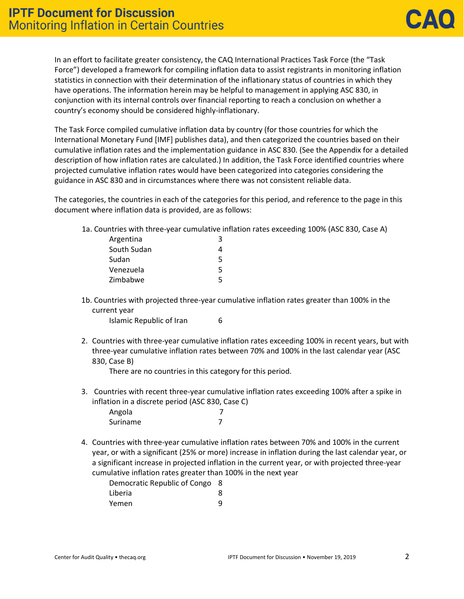In an effort to facilitate greater consistency, the CAQ International Practices Task Force (the "Task Force") developed a framework for compiling inflation data to assist registrants in monitoring inflation statistics in connection with their determination of the inflationary status of countries in which they have operations. The information herein may be helpful to management in applying ASC 830, in conjunction with its internal controls over financial reporting to reach a conclusion on whether a country's economy should be considered highly-inflationary.

The Task Force compiled cumulative inflation data by country (for those countries for which the International Monetary Fund [IMF] publishes data), and then categorized the countries based on their cumulative inflation rates and the implementation guidance in ASC 830. (See the Appendix for a detailed description of how inflation rates are calculated.) In addition, the Task Force identified countries where projected cumulative inflation rates would have been categorized into categories considering the guidance in ASC 830 and in circumstances where there was not consistent reliable data.

The categories, the countries in each of the categories for this period, and reference to the page in this document where inflation data is provided, are as follows:

1a. Countries with three-year cumulative inflation rates exceeding 100% (ASC 830, Case A)

| Argentina   |   |
|-------------|---|
| South Sudan |   |
| Sudan       | 5 |
| Venezuela   | 5 |
| Zimbabwe    | 5 |

1b. Countries with projected three-year cumulative inflation rates greater than 100% in the current year

Islamic Republic of Iran 6

2. Countries with three-year cumulative inflation rates exceeding 100% in recent years, but with three-year cumulative inflation rates between 70% and 100% in the last calendar year (ASC 830, Case B)

There are no countries in this category for this period.

3. Countries with recent three-year cumulative inflation rates exceeding 100% after a spike in inflation in a discrete period (ASC 830, Case C)

| Angola   |  |
|----------|--|
| Suriname |  |

4. Countries with three-year cumulative inflation rates between 70% and 100% in the current year, or with a significant (25% or more) increase in inflation during the last calendar year, or a significant increase in projected inflation in the current year, or with projected three-year cumulative inflation rates greater than 100% in the next year

| Democratic Republic of Congo 8 |   |
|--------------------------------|---|
| Liberia                        | 8 |
| Yemen                          | q |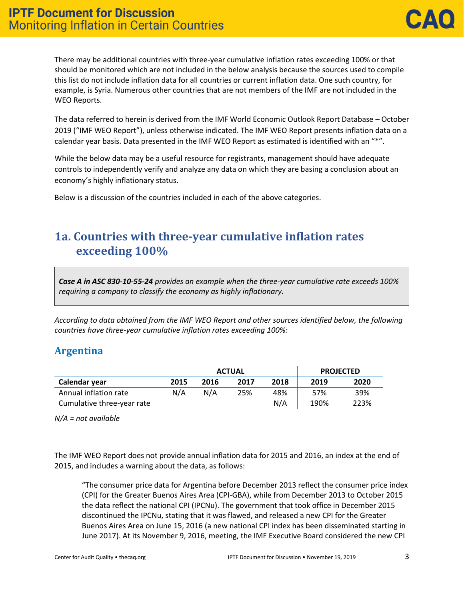There may be additional countries with three-year cumulative inflation rates exceeding 100% or that should be monitored which are not included in the below analysis because the sources used to compile this list do not include inflation data for all countries or current inflation data. One such country, for example, is Syria. Numerous other countries that are not members of the IMF are not included in the WEO Reports.

The data referred to herein is derived from the IMF World Economic Outlook Report Database – October 2019 ("IMF WEO Report"), unless otherwise indicated. The IMF WEO Report presents inflation data on a calendar year basis. Data presented in the IMF WEO Report as estimated is identified with an "\*".

While the below data may be a useful resource for registrants, management should have adequate controls to independently verify and analyze any data on which they are basing a conclusion about an economy's highly inflationary status.

Below is a discussion of the countries included in each of the above categories.

## **1a. Countries with three-year cumulative inflation rates exceeding 100%**

*Case A in ASC 830-10-55-24 provides an example when the three-year cumulative rate exceeds 100% requiring a company to classify the economy as highly inflationary.*

*According to data obtained from the IMF WEO Report and other sources identified below, the following countries have three-year cumulative inflation rates exceeding 100%:*

### **Argentina**

|                            | <b>ACTUAL</b> |      |      |      | <b>PROJECTED</b> |      |  |
|----------------------------|---------------|------|------|------|------------------|------|--|
| Calendar year              | 2015          | 2016 | 2017 | 2018 | 2019             | 2020 |  |
| Annual inflation rate      | N/A           | N/A  | 25%  | 48%  | 57%              | 39%  |  |
| Cumulative three-year rate |               |      |      | N/A  | 190%             | 223% |  |

*N/A = not available*

The IMF WEO Report does not provide annual inflation data for 2015 and 2016, an index at the end of 2015, and includes a warning about the data, as follows:

"The consumer price data for Argentina before December 2013 reflect the consumer price index (CPI) for the Greater Buenos Aires Area (CPI-GBA), while from December 2013 to October 2015 the data reflect the national CPI (IPCNu). The government that took office in December 2015 discontinued the IPCNu, stating that it was flawed, and released a new CPI for the Greater Buenos Aires Area on June 15, 2016 (a new national CPI index has been disseminated starting in June 2017). At its November 9, 2016, meeting, the IMF Executive Board considered the new CPI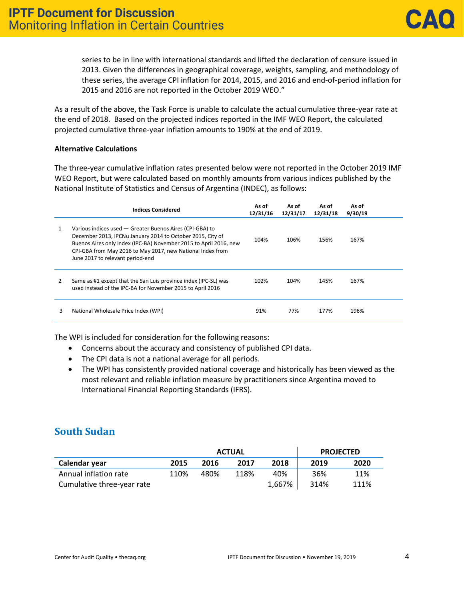series to be in line with international standards and lifted the declaration of censure issued in 2013. Given the differences in geographical coverage, weights, sampling, and methodology of these series, the average CPI inflation for 2014, 2015, and 2016 and end-of-period inflation for 2015 and 2016 are not reported in the October 2019 WEO."

As a result of the above, the Task Force is unable to calculate the actual cumulative three-year rate at the end of 2018. Based on the projected indices reported in the IMF WEO Report, the calculated projected cumulative three-year inflation amounts to 190% at the end of 2019.

#### **Alternative Calculations**

The three-year cumulative inflation rates presented below were not reported in the October 2019 IMF WEO Report, but were calculated based on monthly amounts from various indices published by the National Institute of Statistics and Census of Argentina (INDEC), as follows:

|                | <b>Indices Considered</b>                                                                                                                                                                                                                                                                     | As of<br>12/31/16 | As of<br>12/31/17 | As of<br>12/31/18 | As of<br>9/30/19 |  |
|----------------|-----------------------------------------------------------------------------------------------------------------------------------------------------------------------------------------------------------------------------------------------------------------------------------------------|-------------------|-------------------|-------------------|------------------|--|
| 1              | Various indices used - Greater Buenos Aires (CPI-GBA) to<br>December 2013, IPCNu January 2014 to October 2015, City of<br>Buenos Aires only index (IPC-BA) November 2015 to April 2016, new<br>CPI-GBA from May 2016 to May 2017, new National Index from<br>June 2017 to relevant period-end | 104%              | 106%              | 156%              | 167%             |  |
| $\overline{2}$ | Same as #1 except that the San Luis province index (IPC-SL) was<br>used instead of the IPC-BA for November 2015 to April 2016                                                                                                                                                                 | 102%              | 104%              | 145%              | 167%             |  |
| 3              | National Wholesale Price Index (WPI)                                                                                                                                                                                                                                                          | 91%               | 77%               | 177%              | 196%             |  |

The WPI is included for consideration for the following reasons:

- Concerns about the accuracy and consistency of published CPI data.
- The CPI data is not a national average for all periods.
- The WPI has consistently provided national coverage and historically has been viewed as the most relevant and reliable inflation measure by practitioners since Argentina moved to International Financial Reporting Standards (IFRS).

### **South Sudan**

|                            | <b>ACTUAL</b> |      |      |        | <b>PROJECTED</b> |      |  |
|----------------------------|---------------|------|------|--------|------------------|------|--|
| Calendar year              | 2015          | 2016 | 2017 | 2018   | 2019             | 2020 |  |
| Annual inflation rate      | 110%          | 480% | 118% | 40%    | 36%              | 11%  |  |
| Cumulative three-year rate |               |      |      | 1,667% | 314%             | 111% |  |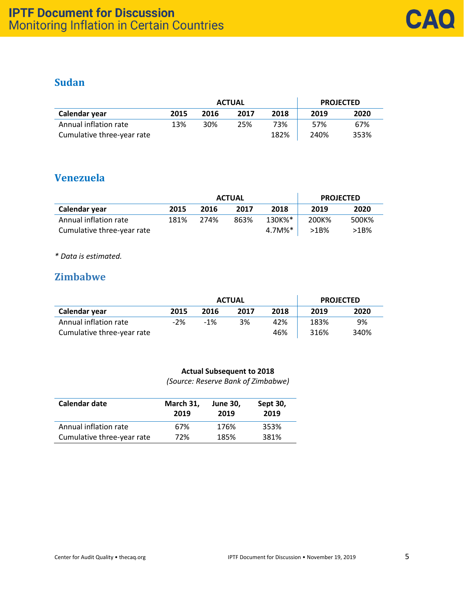### **Sudan**

|                            |      |      | <b>ACTUAL</b> | <b>PROJECTED</b> |      |      |
|----------------------------|------|------|---------------|------------------|------|------|
| Calendar year              | 2015 | 2016 | 2017          | 2018             | 2019 | 2020 |
| Annual inflation rate      | 13%  | 30%  | 25%           | 73%              | 57%  | 67%  |
| Cumulative three-year rate |      |      |               | 182%             | 240% | 353% |

### **Venezuela**

|                            | <b>ACTUAL</b> |      |      |           | <b>PROJECTED</b> |       |  |
|----------------------------|---------------|------|------|-----------|------------------|-------|--|
| Calendar year              | 2015          | 2016 | 2017 | 2018      | 2019             | 2020  |  |
| Annual inflation rate      | 181%          | 274% | 863% | 130K%*    | 200K%            | 500K% |  |
| Cumulative three-year rate |               |      |      | $4.7M\%*$ | >1B%             | >1B%  |  |

*\* Data is estimated.*

### **Zimbabwe**

|                            | <b>ACTUAL</b> |       |      |      | <b>PROJECTED</b> |      |
|----------------------------|---------------|-------|------|------|------------------|------|
| Calendar year              | 2015          | 2016  | 2017 | 2018 | 2019             | 2020 |
| Annual inflation rate      | $-2%$         | $-1%$ | 3%   | 42%  | 183%             | 9%   |
| Cumulative three-year rate |               |       |      | 46%  | 316%             | 340% |

#### **Actual Subsequent to 2018**

*(Source: Reserve Bank of Zimbabwe)*

| Calendar date              | March 31,<br>2019 | <b>June 30.</b><br>2019 | Sept 30,<br>2019 |
|----------------------------|-------------------|-------------------------|------------------|
| Annual inflation rate      | 67%               | 176%                    | 353%             |
| Cumulative three-year rate | 72%               | 185%                    | 381%             |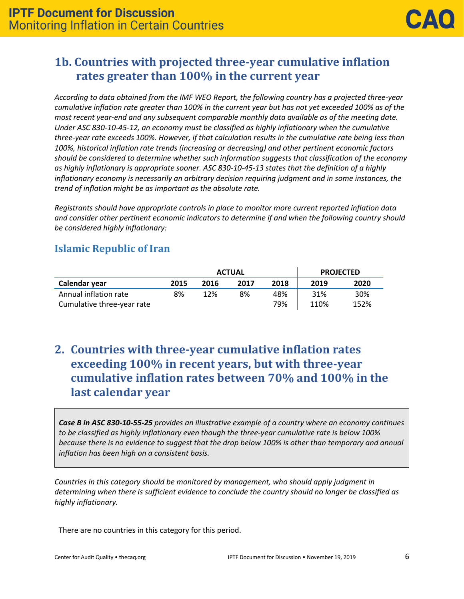## **1b. Countries with projected three-year cumulative inflation rates greater than 100% in the current year**

*According to data obtained from the IMF WEO Report, the following country has a projected three-year cumulative inflation rate greater than 100% in the current year but has not yet exceeded 100% as of the most recent year-end and any subsequent comparable monthly data available as of the meeting date. Under ASC 830-10-45-12, an economy must be classified as highly inflationary when the cumulative three-year rate exceeds 100%. However, if that calculation results in the cumulative rate being less than 100%, historical inflation rate trends (increasing or decreasing) and other pertinent economic factors should be considered to determine whether such information suggests that classification of the economy as highly inflationary is appropriate sooner. ASC 830-10-45-13 states that the definition of a highly inflationary economy is necessarily an arbitrary decision requiring judgment and in some instances, the trend of inflation might be as important as the absolute rate.*

*Registrants should have appropriate controls in place to monitor more current reported inflation data and consider other pertinent economic indicators to determine if and when the following country should be considered highly inflationary:*

### **Islamic Republic of Iran**

|                            |      | <b>ACTUAL</b> |      |      |      | <b>PROJECTED</b> |  |  |
|----------------------------|------|---------------|------|------|------|------------------|--|--|
| Calendar year              | 2015 | 2016          | 2017 | 2018 | 2019 | 2020             |  |  |
| Annual inflation rate      | 8%   | 12%           | 8%   | 48%  | 31%  | 30%              |  |  |
| Cumulative three-year rate |      |               |      | 79%  | 110% | 152%             |  |  |

## **2. Countries with three-year cumulative inflation rates exceeding 100% in recent years, but with three-year cumulative inflation rates between 70% and 100% in the last calendar year**

*Case B in ASC 830-10-55-25 provides an illustrative example of a country where an economy continues to be classified as highly inflationary even though the three-year cumulative rate is below 100% because there is no evidence to suggest that the drop below 100% is other than temporary and annual inflation has been high on a consistent basis.* 

*Countries in this category should be monitored by management, who should apply judgment in determining when there is sufficient evidence to conclude the country should no longer be classified as highly inflationary.*

There are no countries in this category for this period.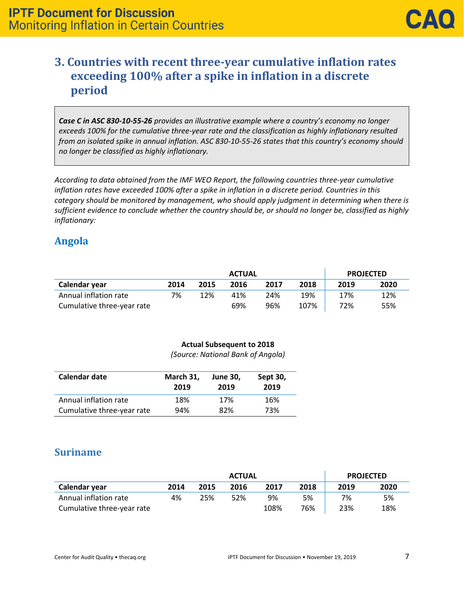## **3. Countries with recent three-year cumulative inflation rates exceeding 100% after a spike in inflation in a discrete period**

*Case C in ASC 830-10-55-26 provides an illustrative example where a country's economy no longer exceeds 100% for the cumulative three-year rate and the classification as highly inflationary resulted from an isolated spike in annual inflation. ASC 830-10-55-26 states that this country's economy should no longer be classified as highly inflationary.*

*According to data obtained from the IMF WEO Report, the following countries three-year cumulative inflation rates have exceeded 100% after a spike in inflation in a discrete period. Countries in this category should be monitored by management, who should apply judgment in determining when there is sufficient evidence to conclude whether the country should be, or should no longer be, classified as highly inflationary:*

### **Angola**

|                            |      | <b>ACTUAL</b> |      |      |      |      | <b>PROJECTED</b> |
|----------------------------|------|---------------|------|------|------|------|------------------|
| Calendar year              | 2014 | 2015          | 2016 | 2017 | 2018 | 2019 | 2020             |
| Annual inflation rate      | 7%   | 12%           | 41%  | 24%  | 19%  | 17%  | 12%              |
| Cumulative three-year rate |      |               | 69%  | 96%  | 107% | 72%  | 55%              |

#### **Actual Subsequent to 2018**

*(Source: National Bank of Angola)*

| Calendar date              | March 31,<br>2019 | <b>June 30,</b><br>2019 | Sept 30,<br>2019 |
|----------------------------|-------------------|-------------------------|------------------|
| Annual inflation rate      | 18%               | 17%                     | 16%              |
| Cumulative three-year rate | 94%               | 82%                     | 73%              |

### **Suriname**

|                            | <b>ACTUAL</b> |      |      |      |      | <b>PROJECTED</b> |      |
|----------------------------|---------------|------|------|------|------|------------------|------|
| Calendar year              | 2014          | 2015 | 2016 | 2017 | 2018 | 2019             | 2020 |
| Annual inflation rate      | 4%            | 25%  | 52%  | 9%   | 5%   | 7%               | 5%   |
| Cumulative three-year rate |               |      |      | 108% | 76%  | 23%              | 18%  |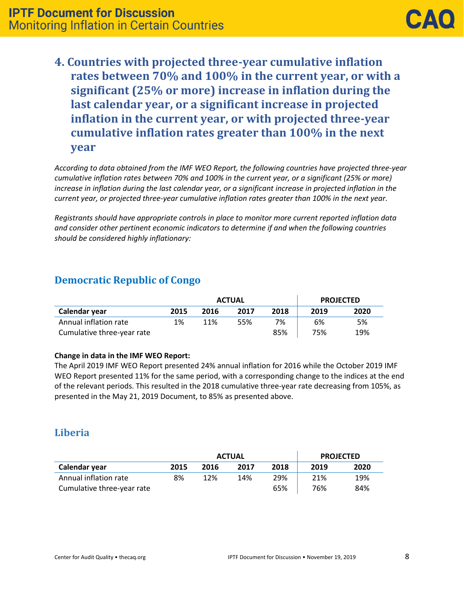**4. Countries with projected three-year cumulative inflation rates between 70% and 100% in the current year, or with a significant (25% or more) increase in inflation during the last calendar year, or a significant increase in projected inflation in the current year, or with projected three-year cumulative inflation rates greater than 100% in the next year**

*According to data obtained from the IMF WEO Report, the following countries have projected three-year cumulative inflation rates between 70% and 100% in the current year, or a significant (25% or more) increase in inflation during the last calendar year, or a significant increase in projected inflation in the current year, or projected three-year cumulative inflation rates greater than 100% in the next year.* 

*Registrants should have appropriate controls in place to monitor more current reported inflation data and consider other pertinent economic indicators to determine if and when the following countries should be considered highly inflationary:*

### **Democratic Republic of Congo**

|                            | <b>ACTUAL</b> |      |      |      | <b>PROJECTED</b> |      |
|----------------------------|---------------|------|------|------|------------------|------|
| Calendar year              | 2015          | 2016 | 2017 | 2018 | 2019             | 2020 |
| Annual inflation rate      | 1%            | 11%  | 55%  | 7%   | 6%               | 5%   |
| Cumulative three-year rate |               |      |      | 85%  | 75%              | 19%  |

#### **Change in data in the IMF WEO Report:**

The April 2019 IMF WEO Report presented 24% annual inflation for 2016 while the October 2019 IMF WEO Report presented 11% for the same period, with a corresponding change to the indices at the end of the relevant periods. This resulted in the 2018 cumulative three-year rate decreasing from 105%, as presented in the May 21, 2019 Document, to 85% as presented above.

### **Liberia**

|                            | <b>ACTUAL</b> |      |      |      | <b>PROJECTED</b> |      |
|----------------------------|---------------|------|------|------|------------------|------|
| Calendar year              | 2015          | 2016 | 2017 | 2018 | 2019             | 2020 |
| Annual inflation rate      | 8%            | 12%  | 14%  | 29%  | 21%              | 19%  |
| Cumulative three-year rate |               |      |      | 65%  | 76%              | 84%  |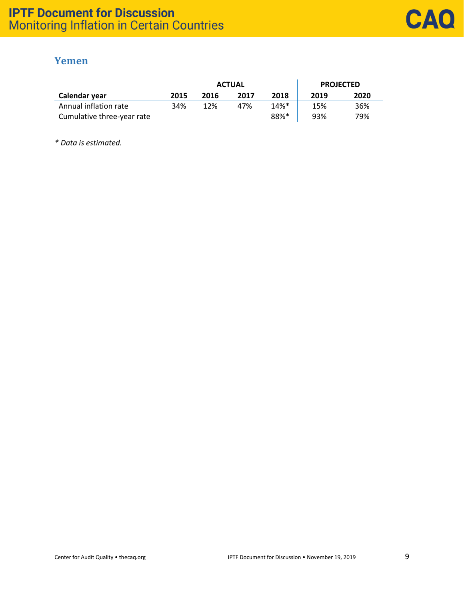### **Yemen**

|                            | <b>ACTUAL</b> |      |      | <b>PROJECTED</b>   |      |      |
|----------------------------|---------------|------|------|--------------------|------|------|
| Calendar year              | 2015          | 2016 | 2017 | 2018               | 2019 | 2020 |
| Annual inflation rate      | 34%           | 12%  | 47%  | $14%$ <sup>*</sup> | 15%  | 36%  |
| Cumulative three-year rate |               |      |      | 88%*               | 93%  | 79%  |

*\* Data is estimated.*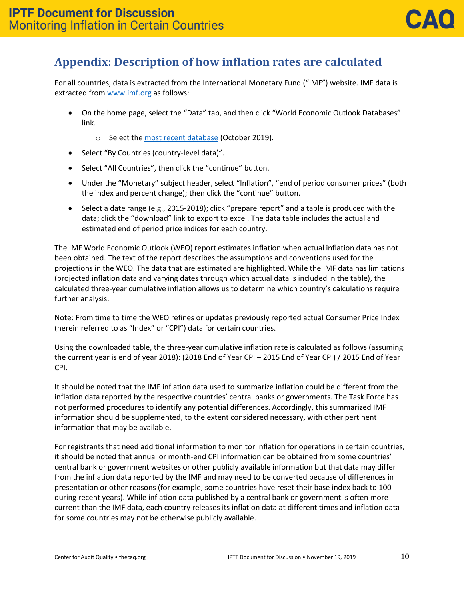# **Appendix: Description of how inflation rates are calculated**

For all countries, data is extracted from the International Monetary Fund ("IMF") website. IMF data is extracted from [www.imf.org](http://www.imf.org/) as follows:

- On the home page, select the "Data" tab, and then click "World Economic Outlook Databases" link.
	- o Select the [most recent database](https://www.imf.org/external/pubs/ft/weo/2019/02/weodata/index.aspx) (October 2019).
- Select "By Countries (country-level data)".
- Select "All Countries", then click the "continue" button.
- Under the "Monetary" subject header, select "Inflation", "end of period consumer prices" (both the index and percent change); then click the "continue" button.
- Select a date range (e.g., 2015-2018); click "prepare report" and a table is produced with the data; click the "download" link to export to excel. The data table includes the actual and estimated end of period price indices for each country.

The IMF World Economic Outlook (WEO) report estimates inflation when actual inflation data has not been obtained. The text of the report describes the assumptions and conventions used for the projections in the WEO. The data that are estimated are highlighted. While the IMF data has limitations (projected inflation data and varying dates through which actual data is included in the table), the calculated three-year cumulative inflation allows us to determine which country's calculations require further analysis.

Note: From time to time the WEO refines or updates previously reported actual Consumer Price Index (herein referred to as "Index" or "CPI") data for certain countries.

Using the downloaded table, the three-year cumulative inflation rate is calculated as follows (assuming the current year is end of year 2018): (2018 End of Year CPI – 2015 End of Year CPI) / 2015 End of Year CPI.

It should be noted that the IMF inflation data used to summarize inflation could be different from the inflation data reported by the respective countries' central banks or governments. The Task Force has not performed procedures to identify any potential differences. Accordingly, this summarized IMF information should be supplemented, to the extent considered necessary, with other pertinent information that may be available.

For registrants that need additional information to monitor inflation for operations in certain countries, it should be noted that annual or month-end CPI information can be obtained from some countries' central bank or government websites or other publicly available information but that data may differ from the inflation data reported by the IMF and may need to be converted because of differences in presentation or other reasons (for example, some countries have reset their base index back to 100 during recent years). While inflation data published by a central bank or government is often more current than the IMF data, each country releases its inflation data at different times and inflation data for some countries may not be otherwise publicly available.